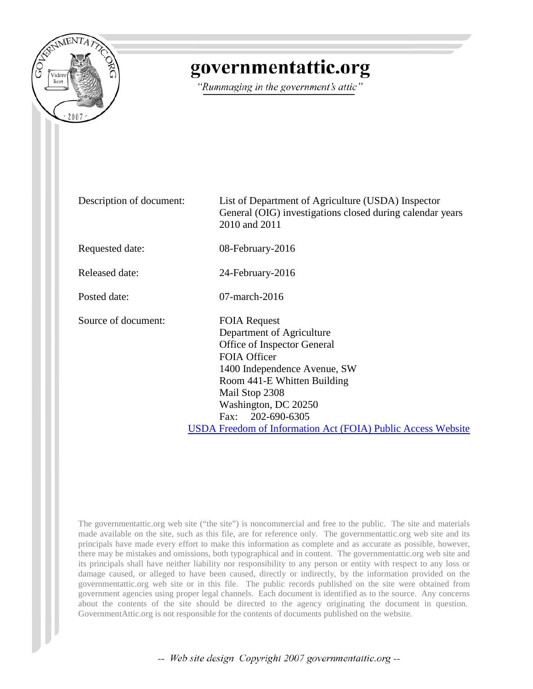

## governmentattic.org

"Rummaging in the government's attic"

Description of document: List of Department of Agriculture (USDA) Inspector General (OIG) investigations closed during calendar years 2010 and 2011 Requested date: 08-February-2016 Released date: 24-February-2016 Posted date: 07-march-2016 Source of document: FOIA Request Department of Agriculture Office of Inspector General FOIA Officer 1400 Independence Avenue, SW Room 441-E Whitten Building Mail Stop 2308 Washington, DC 20250 Fax: 202-690-6305 [USDA Freedom of Information Act \(FOIA\) Public Access Website](https://efoia-pal.usda.gov/palMain.aspx)

The governmentattic.org web site ("the site") is noncommercial and free to the public. The site and materials made available on the site, such as this file, are for reference only. The governmentattic.org web site and its principals have made every effort to make this information as complete and as accurate as possible, however, there may be mistakes and omissions, both typographical and in content. The governmentattic.org web site and its principals shall have neither liability nor responsibility to any person or entity with respect to any loss or damage caused, or alleged to have been caused, directly or indirectly, by the information provided on the governmentattic.org web site or in this file. The public records published on the site were obtained from government agencies using proper legal channels. Each document is identified as to the source. Any concerns about the contents of the site should be directed to the agency originating the document in question. GovernmentAttic.org is not responsible for the contents of documents published on the website.

-- Web site design Copyright 2007 governmentattic.org --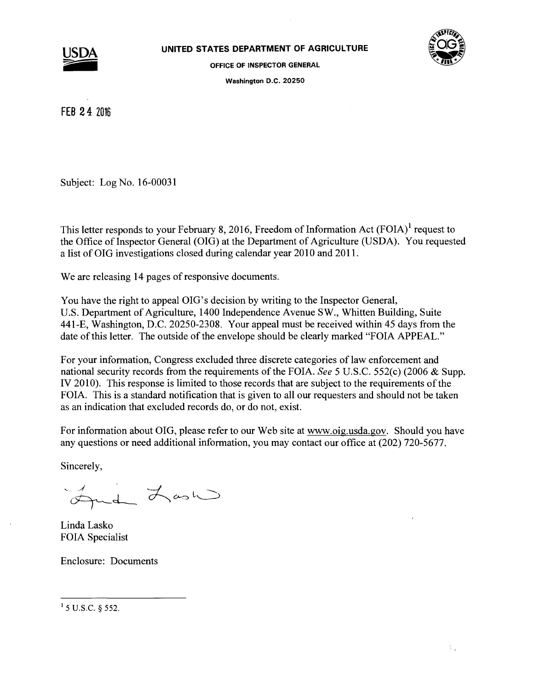



OFFICE OF INSPECTOR GENERAL

Washington D.C. 20250

FEB 2 4 Z016

Subject: Log No. 16-00031

This letter responds to your February 8, 2016, Freedom of Information Act  $(FOIA)^{1}$  request to the Office of Inspector General (OIG) at the Department of Agriculture (USDA). You requested a list of OIG investigations closed during calendar year 2010 and 2011.

We are releasing 14 pages of responsive documents.

You have the right to appeal OIG's decision by writing to the Inspector General, U.S. Department of Agriculture, 1400 Independence Avenue SW., Whitten Building, Suite 441-E, Washington, D.C. 20250-2308. Your appeal must be received within 45 days from the date of this letter. The outside of the envelope should be clearly marked "FOIA APPEAL."

For your information, Congress excluded three discrete categories of law enforcement and national security records from the requirements of the FOIA. *See* 5 U.S.C. 552(c) (2006 & Supp. IV 2010). This response is limited to those records that are subject to the requirements of the FOIA. This is a standard notification that is given to all our requesters and should not be taken as an indication that excluded records do, or do not, exist.

For information about OIG, please refer to our Web site at www.oig.usda.gov. Should you have any questions or need additional information, you may contact our office at (202) 720-5677.

Sincerely,

d Last

Linda Lasko FOIA Specialist

Enclosure: Documents

 $1$  5 U.S.C. § 552.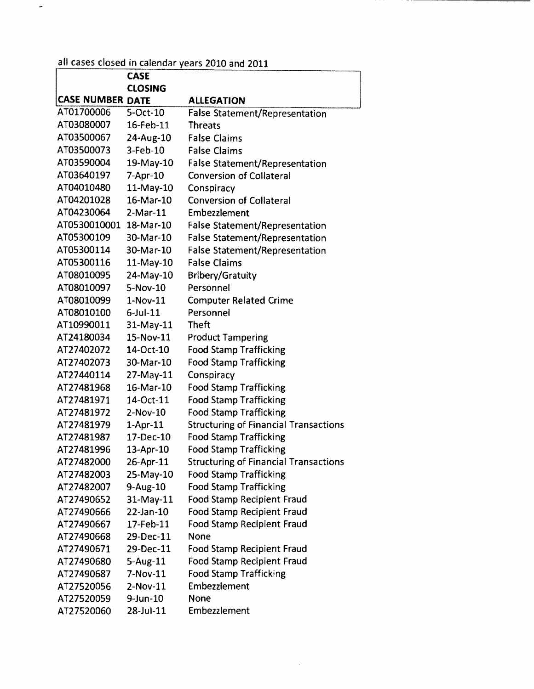## all cases closed in calendar years 2010 and 2011

 $\omega$ 

|                         | <b>CASE</b>    |                                              |
|-------------------------|----------------|----------------------------------------------|
|                         | <b>CLOSING</b> |                                              |
| <b>CASE NUMBER DATE</b> |                | <b>ALLEGATION</b>                            |
| AT01700006              | 5-Oct-10       | <b>False Statement/Representation</b>        |
| AT03080007              | 16-Feb-11      | <b>Threats</b>                               |
| AT03500067              | 24-Aug-10      | <b>False Claims</b>                          |
| AT03500073              | $3$ -Feb- $10$ | <b>False Claims</b>                          |
| AT03590004              | 19-May-10      | <b>False Statement/Representation</b>        |
| AT03640197              | 7-Apr-10       | <b>Conversion of Collateral</b>              |
| AT04010480              | $11-May-10$    | Conspiracy                                   |
| AT04201028              | 16-Mar-10      | <b>Conversion of Collateral</b>              |
| AT04230064              | $2-Mar-11$     | Embezzlement                                 |
| AT0530010001            | 18-Mar-10      | <b>False Statement/Representation</b>        |
| AT05300109              | 30-Mar-10      | <b>False Statement/Representation</b>        |
| AT05300114              | 30-Mar-10      | <b>False Statement/Representation</b>        |
| AT05300116              | 11-May-10      | <b>False Claims</b>                          |
| AT08010095              | 24-May-10      | <b>Bribery/Gratuity</b>                      |
| AT08010097              | 5-Nov-10       | Personnel                                    |
| AT08010099              | $1-Nov-11$     | <b>Computer Related Crime</b>                |
| AT08010100              | $6$ -Jul-11    | Personnel                                    |
| AT10990011              | $31$ -May-11   | <b>Theft</b>                                 |
| AT24180034              | 15-Nov-11      | <b>Product Tampering</b>                     |
| AT27402072              | 14-Oct-10      | <b>Food Stamp Trafficking</b>                |
| AT27402073              | 30-Mar-10      | <b>Food Stamp Trafficking</b>                |
| AT27440114              | $27$ -May-11   | Conspiracy                                   |
| AT27481968              | 16-Mar-10      | <b>Food Stamp Trafficking</b>                |
| AT27481971              | 14-Oct-11      | <b>Food Stamp Trafficking</b>                |
| AT27481972              | $2-Nov-10$     | <b>Food Stamp Trafficking</b>                |
| AT27481979              | $1-Apr-11$     | <b>Structuring of Financial Transactions</b> |
| AT27481987              | 17-Dec-10      | <b>Food Stamp Trafficking</b>                |
| AT27481996              | 13-Apr-10      | <b>Food Stamp Trafficking</b>                |
| AT27482000              | 26-Apr-11      | <b>Structuring of Financial Transactions</b> |
| AT27482003              | 25-May-10      | <b>Food Stamp Trafficking</b>                |
| AT27482007              | 9-Aug-10       | <b>Food Stamp Trafficking</b>                |
| AT27490652              | $31$ -May-11   | <b>Food Stamp Recipient Fraud</b>            |
| AT27490666              | 22-Jan-10      | <b>Food Stamp Recipient Fraud</b>            |
| AT27490667              | 17-Feb-11      | <b>Food Stamp Recipient Fraud</b>            |
| AT27490668              | 29-Dec-11      | None                                         |
| AT27490671              | 29-Dec-11      | <b>Food Stamp Recipient Fraud</b>            |
| AT27490680              | $5 - Aug-11$   | <b>Food Stamp Recipient Fraud</b>            |
| AT27490687              | 7-Nov-11       | <b>Food Stamp Trafficking</b>                |
| AT27520056              | 2-Nov-11       | Embezzlement                                 |
| AT27520059              | $9$ -Jun-10    | None                                         |
| AT27520060              | 28-Jul-11      | Embezzlement                                 |

 $\mathcal{A}^{\mathcal{A}}$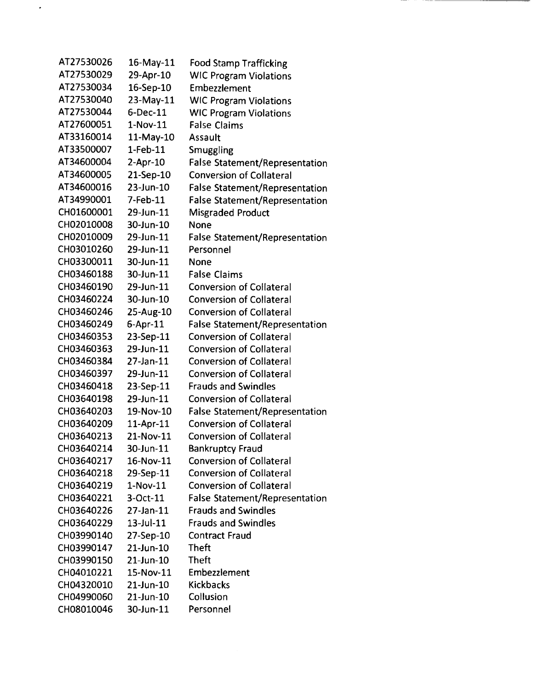| AT27530026 | 16-May-11       | <b>Food Stamp Trafficking</b>         |
|------------|-----------------|---------------------------------------|
| AT27530029 | 29-Apr-10       | <b>WIC Program Violations</b>         |
| AT27530034 | 16-Sep-10       | Embezzlement                          |
| AT27530040 | 23-May-11       | <b>WIC Program Violations</b>         |
| AT27530044 | $6$ -Dec-11     | <b>WIC Program Violations</b>         |
| AT27600051 | $1-Nov-11$      | <b>False Claims</b>                   |
| AT33160014 | 11-May-10       | Assault                               |
| AT33500007 | $1-Feb-11$      | Smuggling                             |
| AT34600004 | $2-Apr-10$      | <b>False Statement/Representation</b> |
| AT34600005 | 21-Sep-10       | <b>Conversion of Collateral</b>       |
| AT34600016 | 23-Jun-10       | <b>False Statement/Representation</b> |
| AT34990001 | 7-Feb-11        | <b>False Statement/Representation</b> |
| CH01600001 | 29-Jun-11       | Misgraded Product                     |
| CH02010008 | 30-Jun-10       | <b>None</b>                           |
| CH02010009 | 29-Jun-11       | <b>False Statement/Representation</b> |
| CH03010260 | 29-Jun-11       | Personnel                             |
| CH03300011 | 30-Jun-11       | <b>None</b>                           |
| CH03460188 | 30-Jun-11       | <b>False Claims</b>                   |
| CH03460190 | 29-Jun-11       | <b>Conversion of Collateral</b>       |
| CH03460224 | 30-Jun-10       | <b>Conversion of Collateral</b>       |
| CH03460246 | 25-Aug-10       | <b>Conversion of Collateral</b>       |
| CH03460249 | 6-Apr-11        | <b>False Statement/Representation</b> |
| CH03460353 | 23-Sep-11       | <b>Conversion of Collateral</b>       |
| CH03460363 | 29-Jun-11       | <b>Conversion of Collateral</b>       |
| CH03460384 | 27-Jan-11       | <b>Conversion of Collateral</b>       |
| CH03460397 | 29-Jun-11       | <b>Conversion of Collateral</b>       |
| CH03460418 | 23-Sep-11       | <b>Frauds and Swindles</b>            |
| CH03640198 | 29-Jun-11       | <b>Conversion of Collateral</b>       |
| CH03640203 | 19-Nov-10       | <b>False Statement/Representation</b> |
| CH03640209 | 11-Apr-11       | <b>Conversion of Collateral</b>       |
| CH03640213 | 21-Nov-11       | <b>Conversion of Collateral</b>       |
| CH03640214 | 30-Jun-11       | <b>Bankruptcy Fraud</b>               |
| CH03640217 | 16-Nov-11       | <b>Conversion of Collateral</b>       |
| CH03640218 | 29-Sep-11       | <b>Conversion of Collateral</b>       |
| CH03640219 | $1-Nov-11$      | <b>Conversion of Collateral</b>       |
| CH03640221 | 3-Oct-11        | <b>False Statement/Representation</b> |
| CH03640226 | 27-Jan-11       | <b>Frauds and Swindles</b>            |
| CH03640229 | $13 -$ Jul-11   | <b>Frauds and Swindles</b>            |
| CH03990140 | 27-Sep-10       | <b>Contract Fraud</b>                 |
| CH03990147 | 21-Jun-10       | <b>Theft</b>                          |
| CH03990150 | $21$ -Jun- $10$ | <b>Theft</b>                          |
| CH04010221 | 15-Nov-11       | Embezzlement                          |
| CH04320010 | $21$ -Jun-10    | <b>Kickbacks</b>                      |
| CH04990060 | 21-Jun-10       | Collusion                             |
| CH08010046 | 30-Jun-11       | Personnel                             |

 $\ddot{\phantom{0}}$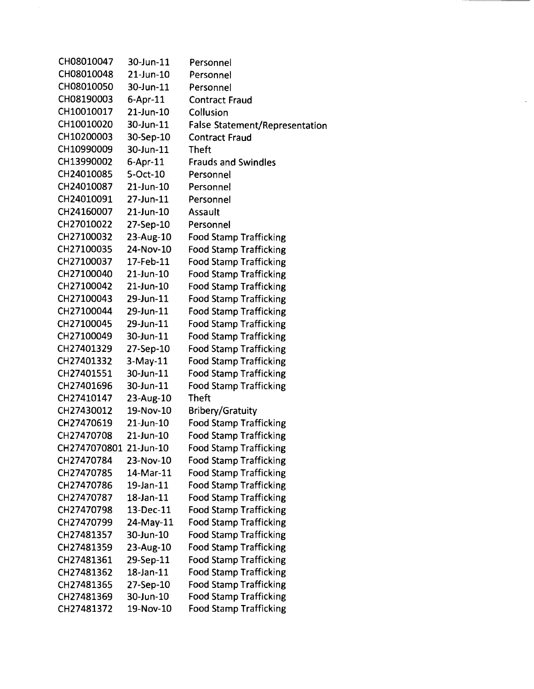| CH08010047             | 30-Jun-11      | Personnel                             |
|------------------------|----------------|---------------------------------------|
| CH08010048             | 21-Jun-10      | Personnel                             |
| CH08010050             | 30-Jun-11      | Personnel                             |
| CH08190003             | $6-Apr-11$     | <b>Contract Fraud</b>                 |
| CH10010017             | 21-Jun-10      | Collusion                             |
| CH10010020             | 30-Jun-11      | <b>False Statement/Representation</b> |
| CH10200003             | 30-Sep-10      | <b>Contract Fraud</b>                 |
| CH10990009             | 30-Jun-11      | <b>Theft</b>                          |
| CH13990002             | $6 - Apr - 11$ | <b>Frauds and Swindles</b>            |
| CH24010085             | 5-Oct-10       | Personnel                             |
| CH24010087             | 21-Jun-10      | Personnel                             |
| CH24010091             | 27-Jun-11      | Personnel                             |
| CH24160007             | 21-Jun-10      | Assault                               |
| CH27010022             | 27-Sep-10      | Personnel                             |
| CH27100032             | 23-Aug-10      | <b>Food Stamp Trafficking</b>         |
| CH27100035             | 24-Nov-10      | <b>Food Stamp Trafficking</b>         |
| CH27100037             | 17-Feb-11      | <b>Food Stamp Trafficking</b>         |
| CH27100040             | 21-Jun-10      | <b>Food Stamp Trafficking</b>         |
| CH27100042             | 21-Jun-10      | <b>Food Stamp Trafficking</b>         |
| CH27100043             | 29-Jun-11      | <b>Food Stamp Trafficking</b>         |
| CH27100044             | 29-Jun-11      | <b>Food Stamp Trafficking</b>         |
| CH27100045             | 29-Jun-11      | <b>Food Stamp Trafficking</b>         |
| CH27100049             | 30-Jun-11      | <b>Food Stamp Trafficking</b>         |
| CH27401329             | 27-Sep-10      | <b>Food Stamp Trafficking</b>         |
| CH27401332             | $3-May-11$     | <b>Food Stamp Trafficking</b>         |
| CH27401551             | 30-Jun-11      | <b>Food Stamp Trafficking</b>         |
| CH27401696             | 30-Jun-11      | <b>Food Stamp Trafficking</b>         |
| CH27410147             | 23-Aug-10      | Theft                                 |
| CH27430012             | 19-Nov-10      | <b>Bribery/Gratuity</b>               |
| CH27470619             | 21-Jun-10      | <b>Food Stamp Trafficking</b>         |
| CH27470708             | 21-Jun-10      | <b>Food Stamp Trafficking</b>         |
| CH2747070801 21-Jun-10 |                | <b>Food Stamp Trafficking</b>         |
| CH27470784             | 23-Nov-10      | <b>Food Stamp Trafficking</b>         |
| CH27470785             | 14-Mar-11      | <b>Food Stamp Trafficking</b>         |
| CH27470786             | 19-Jan-11      | <b>Food Stamp Trafficking</b>         |
| CH27470787             | 18-Jan-11      | <b>Food Stamp Trafficking</b>         |
| CH27470798             | 13-Dec-11      | <b>Food Stamp Trafficking</b>         |
| CH27470799             | 24-May-11      | <b>Food Stamp Trafficking</b>         |
| CH27481357             | 30-Jun-10      | <b>Food Stamp Trafficking</b>         |
| CH27481359             | 23-Aug-10      | <b>Food Stamp Trafficking</b>         |
| CH27481361             | 29-Sep-11      | <b>Food Stamp Trafficking</b>         |
| CH27481362             | 18-Jan-11      | <b>Food Stamp Trafficking</b>         |
| CH27481365             | 27-Sep-10      | <b>Food Stamp Trafficking</b>         |
| CH27481369             | 30-Jun-10      | <b>Food Stamp Trafficking</b>         |
| CH27481372             | 19-Nov-10      | <b>Food Stamp Trafficking</b>         |

 $\ddot{\phantom{a}}$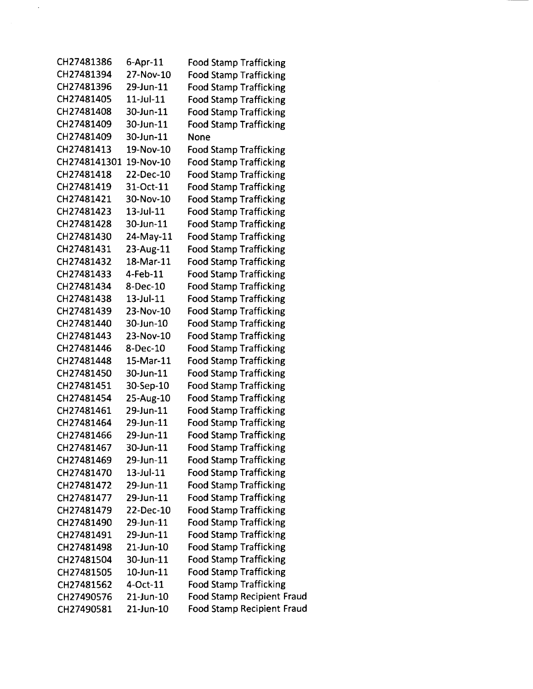| CH27481386   | $6 - Apr - 11$  | <b>Food Stamp Trafficking</b>     |
|--------------|-----------------|-----------------------------------|
| CH27481394   | 27-Nov-10       | <b>Food Stamp Trafficking</b>     |
| CH27481396   | 29-Jun-11       | <b>Food Stamp Trafficking</b>     |
| CH27481405   | $11$ -Jul- $11$ | <b>Food Stamp Trafficking</b>     |
| CH27481408   | 30-Jun-11       | <b>Food Stamp Trafficking</b>     |
| CH27481409   | 30-Jun-11       | <b>Food Stamp Trafficking</b>     |
| CH27481409   | 30-Jun-11       | None                              |
| CH27481413   | 19-Nov-10       | <b>Food Stamp Trafficking</b>     |
| CH2748141301 | 19-Nov-10       | <b>Food Stamp Trafficking</b>     |
| CH27481418   | 22-Dec-10       | <b>Food Stamp Trafficking</b>     |
| CH27481419   | 31-Oct-11       | <b>Food Stamp Trafficking</b>     |
| CH27481421   | 30-Nov-10       | <b>Food Stamp Trafficking</b>     |
| CH27481423   | $13$ -Jul- $11$ | <b>Food Stamp Trafficking</b>     |
| CH27481428   | 30-Jun-11       | <b>Food Stamp Trafficking</b>     |
| CH27481430   | 24-May-11       | <b>Food Stamp Trafficking</b>     |
| CH27481431   | 23-Aug-11       | <b>Food Stamp Trafficking</b>     |
| CH27481432   | 18-Mar-11       | <b>Food Stamp Trafficking</b>     |
| CH27481433   | 4-Feb-11        | <b>Food Stamp Trafficking</b>     |
| CH27481434   | 8-Dec-10        | <b>Food Stamp Trafficking</b>     |
| CH27481438   | 13-Jul-11       | <b>Food Stamp Trafficking</b>     |
| CH27481439   | 23-Nov-10       | <b>Food Stamp Trafficking</b>     |
| CH27481440   | 30-Jun-10       | <b>Food Stamp Trafficking</b>     |
| CH27481443   | 23-Nov-10       | <b>Food Stamp Trafficking</b>     |
| CH27481446   | 8-Dec-10        | <b>Food Stamp Trafficking</b>     |
| CH27481448   | 15-Mar-11       | <b>Food Stamp Trafficking</b>     |
| CH27481450   | 30-Jun-11       | <b>Food Stamp Trafficking</b>     |
| CH27481451   | 30-Sep-10       | <b>Food Stamp Trafficking</b>     |
| CH27481454   | 25-Aug-10       | <b>Food Stamp Trafficking</b>     |
| CH27481461   | 29-Jun-11       | <b>Food Stamp Trafficking</b>     |
| CH27481464   | 29-Jun-11       | <b>Food Stamp Trafficking</b>     |
| CH27481466   | 29-Jun-11       | <b>Food Stamp Trafficking</b>     |
| CH27481467   | 30-Jun-11       | <b>Food Stamp Trafficking</b>     |
| CH27481469   | 29-Jun-11       | <b>Food Stamp Trafficking</b>     |
| CH27481470   | $13 -$ Jul-11   | <b>Food Stamp Trafficking</b>     |
| CH27481472   | 29-Jun-11       | <b>Food Stamp Trafficking</b>     |
| CH27481477   | 29-Jun-11       | <b>Food Stamp Trafficking</b>     |
| CH27481479   | 22-Dec-10       | <b>Food Stamp Trafficking</b>     |
| CH27481490   | 29-Jun-11       | <b>Food Stamp Trafficking</b>     |
| CH27481491   | 29-Jun-11       | <b>Food Stamp Trafficking</b>     |
| CH27481498   | 21-Jun-10       | <b>Food Stamp Trafficking</b>     |
| CH27481504   | 30-Jun-11       | <b>Food Stamp Trafficking</b>     |
| CH27481505   | 10-Jun-11       | <b>Food Stamp Trafficking</b>     |
| CH27481562   | 4-Oct-11        | <b>Food Stamp Trafficking</b>     |
| CH27490576   | 21-Jun-10       | <b>Food Stamp Recipient Fraud</b> |
| CH27490581   | 21-Jun-10       | <b>Food Stamp Recipient Fraud</b> |

 $\hat{\mathcal{A}}$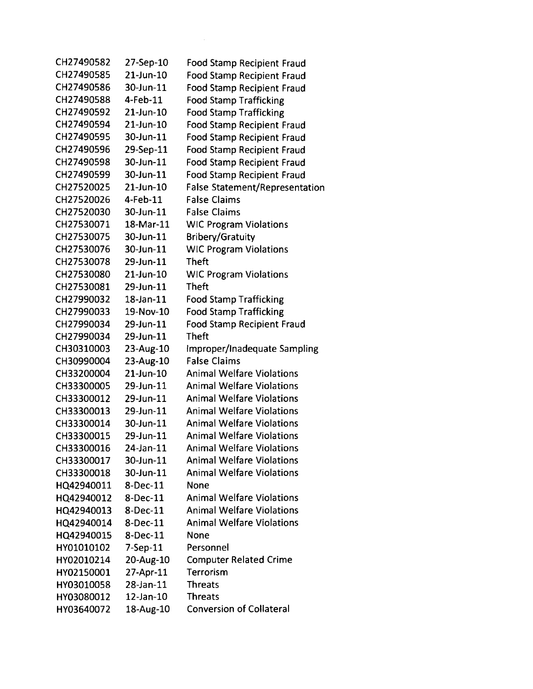| CH27490582 | 27-Sep-10      | Food Stamp Recipient Fraud            |
|------------|----------------|---------------------------------------|
| CH27490585 | 21-Jun-10      | <b>Food Stamp Recipient Fraud</b>     |
| CH27490586 | 30-Jun-11      | <b>Food Stamp Recipient Fraud</b>     |
| CH27490588 | 4-Feb-11       | <b>Food Stamp Trafficking</b>         |
| CH27490592 | 21-Jun-10      | <b>Food Stamp Trafficking</b>         |
| CH27490594 | 21-Jun-10      | <b>Food Stamp Recipient Fraud</b>     |
| CH27490595 | 30-Jun-11      | <b>Food Stamp Recipient Fraud</b>     |
| CH27490596 | 29-Sep-11      | <b>Food Stamp Recipient Fraud</b>     |
| CH27490598 | 30-Jun-11      | <b>Food Stamp Recipient Fraud</b>     |
| CH27490599 | 30-Jun-11      | <b>Food Stamp Recipient Fraud</b>     |
| CH27520025 | 21-Jun-10      | <b>False Statement/Representation</b> |
| CH27520026 | 4-Feb-11       | <b>False Claims</b>                   |
| CH27520030 | 30-Jun-11      | <b>False Claims</b>                   |
| CH27530071 | 18-Mar-11      | <b>WIC Program Violations</b>         |
| CH27530075 | 30-Jun-11      | <b>Bribery/Gratuity</b>               |
| CH27530076 | 30-Jun-11      | <b>WIC Program Violations</b>         |
| CH27530078 | 29-Jun-11      | <b>Theft</b>                          |
| CH27530080 | 21-Jun-10      | <b>WIC Program Violations</b>         |
| CH27530081 | 29-Jun-11      | <b>Theft</b>                          |
| CH27990032 | 18-Jan-11      | <b>Food Stamp Trafficking</b>         |
| CH27990033 | 19-Nov-10      | <b>Food Stamp Trafficking</b>         |
| CH27990034 | 29-Jun-11      | <b>Food Stamp Recipient Fraud</b>     |
| CH27990034 | 29-Jun-11      | <b>Theft</b>                          |
| CH30310003 | 23-Aug-10      | Improper/Inadequate Sampling          |
| CH30990004 | 23-Aug-10      | <b>False Claims</b>                   |
| CH33200004 | 21-Jun-10      | <b>Animal Welfare Violations</b>      |
| CH33300005 | 29-Jun-11      | <b>Animal Welfare Violations</b>      |
| CH33300012 | 29-Jun-11      | <b>Animal Welfare Violations</b>      |
| CH33300013 | 29-Jun-11      | <b>Animal Welfare Violations</b>      |
| CH33300014 | 30-Jun-11      | <b>Animal Welfare Violations</b>      |
| CH33300015 | 29-Jun-11      | <b>Animal Welfare Violations</b>      |
| CH33300016 | 24-Jan-11      | <b>Animal Welfare Violations</b>      |
| CH33300017 | 30-Jun-11      | <b>Animal Welfare Violations</b>      |
| CH33300018 | 30-Jun-11      | <b>Animal Welfare Violations</b>      |
| HQ42940011 | 8-Dec-11       | <b>None</b>                           |
| HQ42940012 | $8$ -Dec-11    | <b>Animal Welfare Violations</b>      |
| HQ42940013 | 8-Dec-11       | <b>Animal Welfare Violations</b>      |
| HQ42940014 | 8-Dec-11       | <b>Animal Welfare Violations</b>      |
| HQ42940015 | 8-Dec-11       | None                                  |
| HY01010102 | $7-$ Sep $-11$ | Personnel                             |
| HY02010214 | 20-Aug-10      | <b>Computer Related Crime</b>         |
| HY02150001 | 27-Apr-11      | Terrorism                             |
| HY03010058 | 28-Jan-11      | <b>Threats</b>                        |
| HY03080012 | 12-Jan-10      | <b>Threats</b>                        |
| HY03640072 | 18-Aug-10      | <b>Conversion of Collateral</b>       |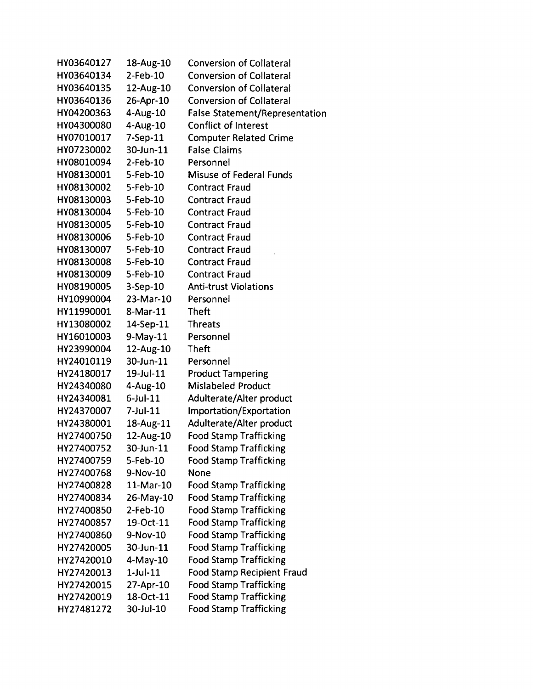| HY03640127 | 18-Aug-10      | <b>Conversion of Collateral</b>       |
|------------|----------------|---------------------------------------|
| HY03640134 | 2-Feb-10       | <b>Conversion of Collateral</b>       |
| HY03640135 | 12-Aug-10      | <b>Conversion of Collateral</b>       |
| HY03640136 | 26-Apr-10      | <b>Conversion of Collateral</b>       |
| HY04200363 | $4-Aug-10$     | <b>False Statement/Representation</b> |
| HY04300080 | 4-Aug-10       | <b>Conflict of Interest</b>           |
| HY07010017 | $7-$ Sep $-11$ | <b>Computer Related Crime</b>         |
| HY07230002 | 30-Jun-11      | <b>False Claims</b>                   |
| HY08010094 | $2$ -Feb-10    | Personnel                             |
| HY08130001 | 5-Feb-10       | <b>Misuse of Federal Funds</b>        |
| HY08130002 | 5-Feb-10       | <b>Contract Fraud</b>                 |
| HY08130003 | 5-Feb-10       | <b>Contract Fraud</b>                 |
| HY08130004 | 5-Feb-10       | <b>Contract Fraud</b>                 |
| HY08130005 | 5-Feb-10       | <b>Contract Fraud</b>                 |
| HY08130006 | 5-Feb-10       | <b>Contract Fraud</b>                 |
| HY08130007 | 5-Feb-10       | <b>Contract Fraud</b>                 |
| HY08130008 | 5-Feb-10       | <b>Contract Fraud</b>                 |
| HY08130009 | $5 - Feb - 10$ | <b>Contract Fraud</b>                 |
| HY08190005 | $3-Sep-10$     | <b>Anti-trust Violations</b>          |
| HY10990004 | 23-Mar-10      | Personnel                             |
| HY11990001 | 8-Mar-11       | <b>Theft</b>                          |
| HY13080002 | 14-Sep-11      | <b>Threats</b>                        |
| HY16010003 | $9-May-11$     | Personnel                             |
| HY23990004 | 12-Aug-10      | <b>Theft</b>                          |
| HY24010119 | 30-Jun-11      | Personnel                             |
| HY24180017 | 19-Jul-11      | <b>Product Tampering</b>              |
| HY24340080 | $4 - Aug-10$   | <b>Mislabeled Product</b>             |
| HY24340081 | $6$ -Jul-11    | Adulterate/Alter product              |
| HY24370007 | $7$ -Jul-11    | Importation/Exportation               |
| HY24380001 | 18-Aug-11      | Adulterate/Alter product              |
| HY27400750 | 12-Aug-10      | <b>Food Stamp Trafficking</b>         |
| HY27400752 | 30-Jun-11      | <b>Food Stamp Trafficking</b>         |
| HY27400759 | 5-Feb-10       | <b>Food Stamp Trafficking</b>         |
| HY27400768 | 9-Nov-10       | None                                  |
| HY27400828 | 11-Mar-10      | <b>Food Stamp Trafficking</b>         |
| HY27400834 | 26-May-10      | <b>Food Stamp Trafficking</b>         |
| HY27400850 | $2$ -Feb-10    | <b>Food Stamp Trafficking</b>         |
| HY27400857 | 19-Oct-11      | <b>Food Stamp Trafficking</b>         |
| HY27400860 | 9-Nov-10       | <b>Food Stamp Trafficking</b>         |
| HY27420005 | 30-Jun-11      | <b>Food Stamp Trafficking</b>         |
| HY27420010 | 4-May-10       | <b>Food Stamp Trafficking</b>         |
| HY27420013 | $1$ -Jul- $11$ | <b>Food Stamp Recipient Fraud</b>     |
| HY27420015 | 27-Apr-10      | <b>Food Stamp Trafficking</b>         |
| HY27420019 | 18-Oct-11      | <b>Food Stamp Trafficking</b>         |
| HY27481272 | 30-Jul-10      | <b>Food Stamp Trafficking</b>         |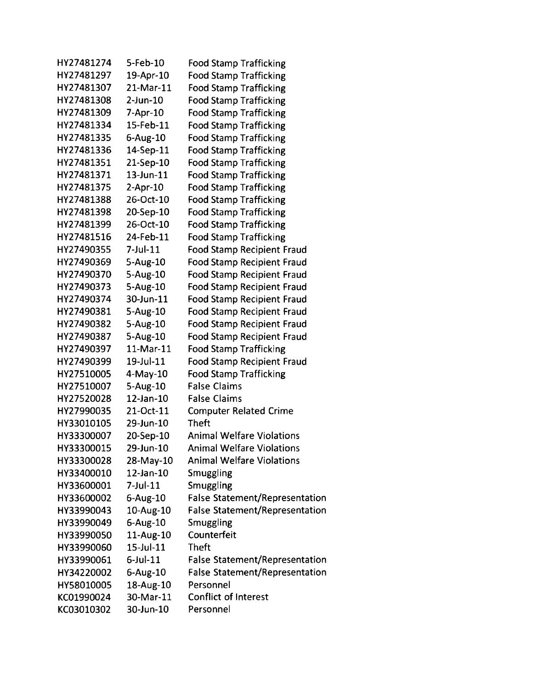| HY27481274 | 5-Feb-10       | <b>Food Stamp Trafficking</b>         |
|------------|----------------|---------------------------------------|
| HY27481297 | 19-Apr-10      | <b>Food Stamp Trafficking</b>         |
| HY27481307 | 21-Mar-11      | <b>Food Stamp Trafficking</b>         |
| HY27481308 | $2$ -Jun- $10$ | <b>Food Stamp Trafficking</b>         |
| HY27481309 | 7-Apr-10       | <b>Food Stamp Trafficking</b>         |
| HY27481334 | 15-Feb-11      | <b>Food Stamp Trafficking</b>         |
| HY27481335 | 6-Aug-10       | <b>Food Stamp Trafficking</b>         |
| HY27481336 | 14-Sep-11      | <b>Food Stamp Trafficking</b>         |
| HY27481351 | 21-Sep-10      | <b>Food Stamp Trafficking</b>         |
| HY27481371 | 13-Jun-11      | <b>Food Stamp Trafficking</b>         |
| HY27481375 | $2-Apr-10$     | <b>Food Stamp Trafficking</b>         |
| HY27481388 | 26-Oct-10      | <b>Food Stamp Trafficking</b>         |
| HY27481398 | 20-Sep-10      | <b>Food Stamp Trafficking</b>         |
| HY27481399 | 26-Oct-10      | <b>Food Stamp Trafficking</b>         |
| HY27481516 | 24-Feb-11      | <b>Food Stamp Trafficking</b>         |
| HY27490355 | $7$ -Jul-11    | <b>Food Stamp Recipient Fraud</b>     |
| HY27490369 | 5-Aug-10       | <b>Food Stamp Recipient Fraud</b>     |
| HY27490370 | 5-Aug-10       | <b>Food Stamp Recipient Fraud</b>     |
| HY27490373 | 5-Aug-10       | <b>Food Stamp Recipient Fraud</b>     |
| HY27490374 | 30-Jun-11      | <b>Food Stamp Recipient Fraud</b>     |
| HY27490381 | $5 - Aug-10$   | <b>Food Stamp Recipient Fraud</b>     |
| HY27490382 | 5-Aug-10       | <b>Food Stamp Recipient Fraud</b>     |
| HY27490387 | 5-Aug-10       | <b>Food Stamp Recipient Fraud</b>     |
| HY27490397 | 11-Mar-11      | <b>Food Stamp Trafficking</b>         |
| HY27490399 | 19-Jul-11      | <b>Food Stamp Recipient Fraud</b>     |
| HY27510005 | $4$ -May-10    | <b>Food Stamp Trafficking</b>         |
| HY27510007 | 5-Aug-10       | <b>False Claims</b>                   |
| HY27520028 | 12-Jan-10      | <b>False Claims</b>                   |
| HY27990035 | 21-Oct-11      | <b>Computer Related Crime</b>         |
| HY33010105 | 29-Jun-10      | <b>Theft</b>                          |
| HY33300007 | 20-Sep-10      | <b>Animal Welfare Violations</b>      |
| HY33300015 | 29-Jun-10      | <b>Animal Welfare Violations</b>      |
| HY33300028 | 28-May-10      | <b>Animal Welfare Violations</b>      |
| HY33400010 | 12-Jan-10      | Smuggling                             |
| HY33600001 | 7-Jul-11       | Smuggling                             |
| HY33600002 | $6$ -Aug-10    | <b>False Statement/Representation</b> |
| HY33990043 | 10-Aug-10      | <b>False Statement/Representation</b> |
| HY33990049 | $6-Aug-10$     | Smuggling                             |
| HY33990050 | 11-Aug-10      | Counterfeit                           |
| HY33990060 | 15-Jul-11      | <b>Theft</b>                          |
| HY33990061 | $6$ -Jul-11    | <b>False Statement/Representation</b> |
| HY34220002 | 6-Aug-10       | <b>False Statement/Representation</b> |
| HY58010005 | 18-Aug-10      | Personnel                             |
| KC01990024 | 30-Mar-11      | <b>Conflict of Interest</b>           |
| KC03010302 | 30-Jun-10      | Personnel                             |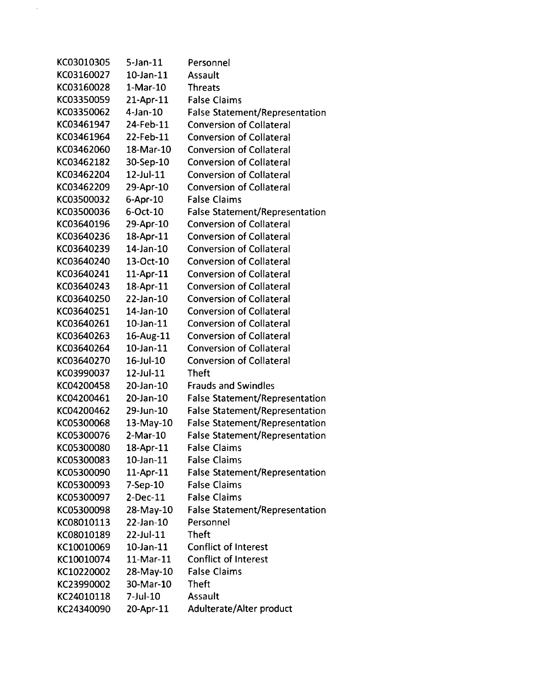| KC03010305 | $5$ -Jan- $11$  | Personnel                             |
|------------|-----------------|---------------------------------------|
| KC03160027 | 10-Jan-11       | Assault                               |
| KC03160028 | $1-Mar-10$      | <b>Threats</b>                        |
| KC03350059 | 21-Apr-11       | <b>False Claims</b>                   |
| KC03350062 | $4$ -Jan-10     | <b>False Statement/Representation</b> |
| KC03461947 | 24-Feb-11       | <b>Conversion of Collateral</b>       |
| KC03461964 | 22-Feb-11       | <b>Conversion of Collateral</b>       |
| KC03462060 | 18-Mar-10       | <b>Conversion of Collateral</b>       |
| KC03462182 | 30-Sep-10       | <b>Conversion of Collateral</b>       |
| KC03462204 | 12-Jul-11       | <b>Conversion of Collateral</b>       |
| KC03462209 | 29-Apr-10       | <b>Conversion of Collateral</b>       |
| KC03500032 | 6-Apr-10        | <b>False Claims</b>                   |
| KC03500036 | 6-Oct-10        | <b>False Statement/Representation</b> |
| KC03640196 | 29-Apr-10       | <b>Conversion of Collateral</b>       |
| KC03640236 | 18-Apr-11       | <b>Conversion of Collateral</b>       |
| KC03640239 | 14-Jan-10       | <b>Conversion of Collateral</b>       |
| KC03640240 | 13-Oct-10       | <b>Conversion of Collateral</b>       |
| KC03640241 | 11-Apr-11       | <b>Conversion of Collateral</b>       |
| KC03640243 | 18-Apr-11       | <b>Conversion of Collateral</b>       |
| KC03640250 | 22-Jan-10       | <b>Conversion of Collateral</b>       |
| KC03640251 | 14-Jan-10       | <b>Conversion of Collateral</b>       |
| KC03640261 | 10-Jan-11       | <b>Conversion of Collateral</b>       |
| KC03640263 | 16-Aug-11       | <b>Conversion of Collateral</b>       |
| KC03640264 | $10$ -Jan- $11$ | <b>Conversion of Collateral</b>       |
| KC03640270 | 16-Jul-10       | <b>Conversion of Collateral</b>       |
| KC03990037 | 12-Jul-11       | <b>Theft</b>                          |
| KC04200458 | 20-Jan-10       | <b>Frauds and Swindles</b>            |
| KC04200461 | 20-Jan-10       | <b>False Statement/Representation</b> |
| KC04200462 | 29-Jun-10       | <b>False Statement/Representation</b> |
| KC05300068 | $13-May-10$     | <b>False Statement/Representation</b> |
| KC05300076 | $2-Mar-10$      | <b>False Statement/Representation</b> |
| KC05300080 | 18-Apr-11       | <b>False Claims</b>                   |
| KC05300083 | $10$ -Jan- $11$ | <b>False Claims</b>                   |
| KC05300090 | $11$ -Apr- $11$ | <b>False Statement/Representation</b> |
| KC05300093 | 7-Sep-10        | <b>False Claims</b>                   |
| KC05300097 | $2-Dec-11$      | <b>False Claims</b>                   |
| KC05300098 | 28-May-10       | <b>False Statement/Representation</b> |
| KC08010113 | 22-Jan-10       | Personnel                             |
| KC08010189 | 22-Jul-11       | <b>Theft</b>                          |
| KC10010069 | $10$ -Jan- $11$ | <b>Conflict of Interest</b>           |
| KC10010074 | 11-Mar-11       | <b>Conflict of Interest</b>           |
| KC10220002 | 28-May-10       | <b>False Claims</b>                   |
| KC23990002 | 30-Mar-10       | <b>Theft</b>                          |
| KC24010118 | 7-Jul-10        | Assault                               |
| KC24340090 | 20-Apr-11       | Adulterate/Alter product              |

 $\bar{\mathcal{A}}$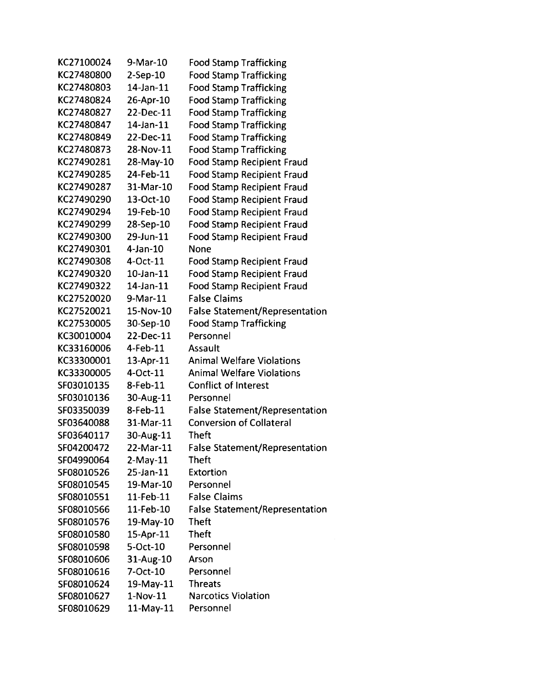| KC27100024 | 9-Mar-10        | <b>Food Stamp Trafficking</b>         |
|------------|-----------------|---------------------------------------|
| KC27480800 | 2-Sep-10        | <b>Food Stamp Trafficking</b>         |
| KC27480803 | 14-Jan-11       | <b>Food Stamp Trafficking</b>         |
| KC27480824 | 26-Apr-10       | <b>Food Stamp Trafficking</b>         |
| KC27480827 | 22-Dec-11       | <b>Food Stamp Trafficking</b>         |
| KC27480847 | 14-Jan-11       | <b>Food Stamp Trafficking</b>         |
| KC27480849 | 22-Dec-11       | <b>Food Stamp Trafficking</b>         |
| KC27480873 | 28-Nov-11       | <b>Food Stamp Trafficking</b>         |
| KC27490281 | 28-May-10       | <b>Food Stamp Recipient Fraud</b>     |
| KC27490285 | 24-Feb-11       | <b>Food Stamp Recipient Fraud</b>     |
| KC27490287 | 31-Mar-10       | <b>Food Stamp Recipient Fraud</b>     |
| KC27490290 | 13-Oct-10       | <b>Food Stamp Recipient Fraud</b>     |
| KC27490294 | 19-Feb-10       | <b>Food Stamp Recipient Fraud</b>     |
| KC27490299 | 28-Sep-10       | <b>Food Stamp Recipient Fraud</b>     |
| KC27490300 | 29-Jun-11       | <b>Food Stamp Recipient Fraud</b>     |
| KC27490301 | 4-Jan-10        | None                                  |
| KC27490308 | 4-Oct-11        | <b>Food Stamp Recipient Fraud</b>     |
| KC27490320 | $10$ -Jan- $11$ | <b>Food Stamp Recipient Fraud</b>     |
| KC27490322 | $14$ -Jan- $11$ | <b>Food Stamp Recipient Fraud</b>     |
| KC27520020 | 9-Mar-11        | <b>False Claims</b>                   |
| KC27520021 | 15-Nov-10       | <b>False Statement/Representation</b> |
| KC27530005 | 30-Sep-10       | <b>Food Stamp Trafficking</b>         |
| KC30010004 | 22-Dec-11       | Personnel                             |
| KC33160006 | 4-Feb-11        | Assault                               |
| KC33300001 | 13-Apr-11       | <b>Animal Welfare Violations</b>      |
| KC33300005 | 4-Oct-11        | <b>Animal Welfare Violations</b>      |
| SF03010135 | 8-Feb-11        | <b>Conflict of Interest</b>           |
| SF03010136 | 30-Aug-11       | Personnel                             |
| SF03350039 | 8-Feb-11        | <b>False Statement/Representation</b> |
| SF03640088 | 31-Mar-11       | <b>Conversion of Collateral</b>       |
| SF03640117 | 30-Aug-11       | <b>Theft</b>                          |
| SF04200472 | 22-Mar-11       | <b>False Statement/Representation</b> |
| SF04990064 | $2-May-11$      | Theft                                 |
| SF08010526 | $25$ -Jan- $11$ | Extortion                             |
| SF08010545 | 19-Mar-10       | Personnel                             |
| SF08010551 | $11$ -Feb- $11$ | <b>False Claims</b>                   |
| SF08010566 | 11-Feb-10       | <b>False Statement/Representation</b> |
| SF08010576 | 19-May-10       | <b>Theft</b>                          |
| SF08010580 | 15-Apr-11       | <b>Theft</b>                          |
| SF08010598 | 5-Oct-10        | Personnel                             |
| SF08010606 | 31-Aug-10       | Arson                                 |
| SF08010616 | 7-Oct-10        | Personnel                             |
| SF08010624 | 19-May-11       | <b>Threats</b>                        |
| SF08010627 | $1-Nov-11$      | <b>Narcotics Violation</b>            |
| SF08010629 | 11-May-11       | Personnel                             |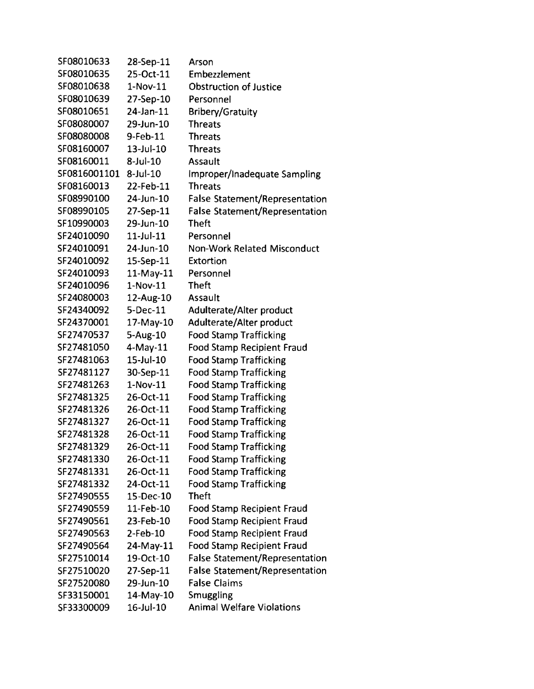| SF08010633   | 28-Sep-11       | Arson                                 |
|--------------|-----------------|---------------------------------------|
| SF08010635   | 25-Oct-11       | Embezzlement                          |
| SF08010638   | $1-Nov-11$      | <b>Obstruction of Justice</b>         |
| SF08010639   | 27-Sep-10       | Personnel                             |
| SF08010651   | 24-Jan-11       | <b>Bribery/Gratuity</b>               |
| SF08080007   | 29-Jun-10       | <b>Threats</b>                        |
| SF08080008   | 9-Feb-11        | <b>Threats</b>                        |
| SF08160007   | $13 -$ Jul-10   | <b>Threats</b>                        |
| SF08160011   | $8$ -Jul-10     | <b>Assault</b>                        |
| SF0816001101 | $8$ -Jul-10     | Improper/Inadequate Sampling          |
| SF08160013   | 22-Feb-11       | <b>Threats</b>                        |
| SF08990100   | 24-Jun-10       | <b>False Statement/Representation</b> |
| SF08990105   | 27-Sep-11       | <b>False Statement/Representation</b> |
| SF10990003   | 29-Jun-10       | <b>Theft</b>                          |
| SF24010090   | $11$ -Jul- $11$ | Personnel                             |
| SF24010091   | 24-Jun-10       | <b>Non-Work Related Misconduct</b>    |
| SF24010092   | 15-Sep-11       | Extortion                             |
| SF24010093   | $11$ -May- $11$ | Personnel                             |
| SF24010096   | 1-Nov-11        | <b>Theft</b>                          |
| SF24080003   | 12-Aug-10       | Assault                               |
| SF24340092   | 5-Dec-11        | <b>Adulterate/Alter product</b>       |
| SF24370001   | 17-May-10       | Adulterate/Alter product              |
| SF27470537   | 5-Aug-10        | <b>Food Stamp Trafficking</b>         |
| SF27481050   | $4$ -May-11     | <b>Food Stamp Recipient Fraud</b>     |
| SF27481063   | $15$ -Jul- $10$ | <b>Food Stamp Trafficking</b>         |
| SF27481127   | 30-Sep-11       | <b>Food Stamp Trafficking</b>         |
| SF27481263   | $1-Nov-11$      | <b>Food Stamp Trafficking</b>         |
| SF27481325   | 26-Oct-11       | <b>Food Stamp Trafficking</b>         |
| SF27481326   | 26-Oct-11       | <b>Food Stamp Trafficking</b>         |
| SF27481327   | 26-Oct-11       | <b>Food Stamp Trafficking</b>         |
| SF27481328   | 26-Oct-11       | <b>Food Stamp Trafficking</b>         |
| SF27481329   | 26-Oct-11       | <b>Food Stamp Trafficking</b>         |
| SF27481330   | 26-Oct-11       | <b>Food Stamp Trafficking</b>         |
| SF27481331   | 26-Oct-11       | <b>Food Stamp Trafficking</b>         |
| SF27481332   | 24-Oct-11       | <b>Food Stamp Trafficking</b>         |
| SF27490555   | 15-Dec-10       | <b>Theft</b>                          |
| SF27490559   | 11-Feb-10       | <b>Food Stamp Recipient Fraud</b>     |
| SF27490561   | 23-Feb-10       | <b>Food Stamp Recipient Fraud</b>     |
| SF27490563   | 2-Feb-10        | <b>Food Stamp Recipient Fraud</b>     |
| SF27490564   | 24-May-11       | <b>Food Stamp Recipient Fraud</b>     |
| SF27510014   | 19-Oct-10       | <b>False Statement/Representation</b> |
| SF27510020   | 27-Sep-11       | <b>False Statement/Representation</b> |
| SF27520080   | 29-Jun-10       | <b>False Claims</b>                   |
| SF33150001   | 14-May-10       | Smuggling                             |
| SF33300009   | 16-Jul-10       | <b>Animal Welfare Violations</b>      |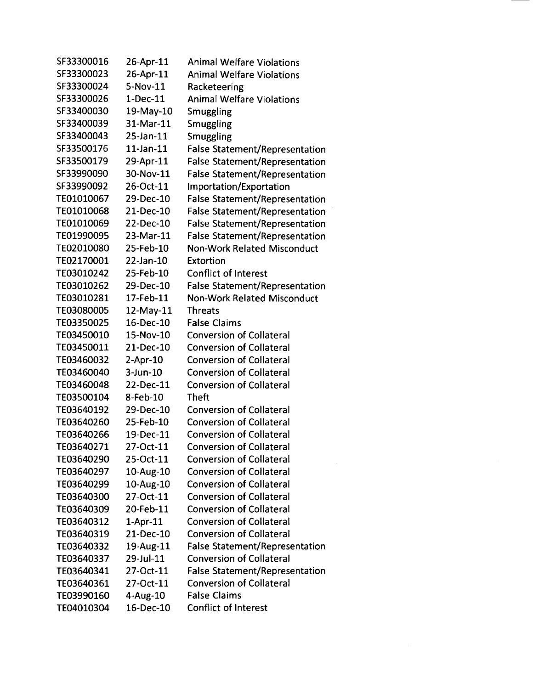| SF33300016 | 26-Apr-11       | <b>Animal Welfare Violations</b>      |
|------------|-----------------|---------------------------------------|
| SF33300023 | 26-Apr-11       | <b>Animal Welfare Violations</b>      |
| SF33300024 | 5-Nov-11        | Racketeering                          |
| SF33300026 | $1-Dec-11$      | <b>Animal Welfare Violations</b>      |
| SF33400030 | 19-May-10       | Smuggling                             |
| SF33400039 | 31-Mar-11       | Smuggling                             |
| SF33400043 | 25-Jan-11       | Smuggling                             |
| SF33500176 | $11$ -Jan- $11$ | False Statement/Representation        |
| SF33500179 | 29-Apr-11       | <b>False Statement/Representation</b> |
| SF33990090 | 30-Nov-11       | <b>False Statement/Representation</b> |
| SF33990092 | 26-Oct-11       | Importation/Exportation               |
| TE01010067 | 29-Dec-10       | <b>False Statement/Representation</b> |
| TE01010068 | 21-Dec-10       | <b>False Statement/Representation</b> |
| TE01010069 | 22-Dec-10       | <b>False Statement/Representation</b> |
| TE01990095 | 23-Mar-11       | <b>False Statement/Representation</b> |
| TE02010080 | 25-Feb-10       | <b>Non-Work Related Misconduct</b>    |
| TE02170001 | 22-Jan-10       | Extortion                             |
| TE03010242 | 25-Feb-10       | <b>Conflict of Interest</b>           |
| TE03010262 | 29-Dec-10       | <b>False Statement/Representation</b> |
| TE03010281 | 17-Feb-11       | Non-Work Related Misconduct           |
| TE03080005 | 12-May-11       | <b>Threats</b>                        |
| TE03350025 | 16-Dec-10       | <b>False Claims</b>                   |
| TE03450010 | 15-Nov-10       | <b>Conversion of Collateral</b>       |
| TE03450011 | 21-Dec-10       | <b>Conversion of Collateral</b>       |
| TE03460032 | 2-Apr-10        | <b>Conversion of Collateral</b>       |
| TE03460040 | $3$ -Jun- $10$  | <b>Conversion of Collateral</b>       |
| TE03460048 | 22-Dec-11       | <b>Conversion of Collateral</b>       |
| TE03500104 | 8-Feb-10        | <b>Theft</b>                          |
| TE03640192 | 29-Dec-10       | <b>Conversion of Collateral</b>       |
| TE03640260 | 25-Feb-10       | <b>Conversion of Collateral</b>       |
| TE03640266 | 19-Dec-11       | <b>Conversion of Collateral</b>       |
| TE03640271 | 27-Oct-11       | <b>Conversion of Collateral</b>       |
| TE03640290 | 25-Oct-11       | <b>Conversion of Collateral</b>       |
| TE03640297 | 10-Aug-10       | <b>Conversion of Collateral</b>       |
| TE03640299 | 10-Aug-10       | <b>Conversion of Collateral</b>       |
| TE03640300 | 27-Oct-11       | <b>Conversion of Collateral</b>       |
| TE03640309 | 20-Feb-11       | <b>Conversion of Collateral</b>       |
| TE03640312 | $1-Apr-11$      | <b>Conversion of Collateral</b>       |
| TE03640319 | 21-Dec-10       | <b>Conversion of Collateral</b>       |
| TE03640332 | 19-Aug-11       | <b>False Statement/Representation</b> |
| TE03640337 | 29-Jul-11       | <b>Conversion of Collateral</b>       |
| TE03640341 | 27-Oct-11       | <b>False Statement/Representation</b> |
| TE03640361 | 27-Oct-11       | <b>Conversion of Collateral</b>       |
| TE03990160 | $4-Aug-10$      | <b>False Claims</b>                   |
| TE04010304 | 16-Dec-10       | <b>Conflict of Interest</b>           |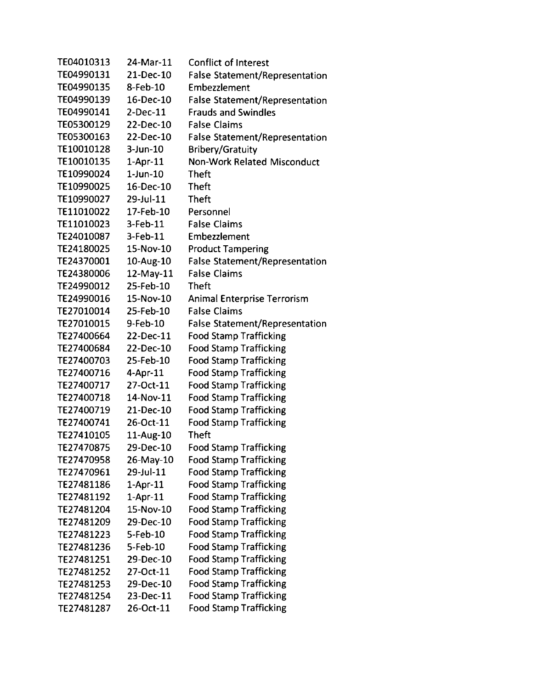| TE04010313 | 24-Mar-11       | <b>Conflict of Interest</b>           |
|------------|-----------------|---------------------------------------|
| TE04990131 | 21-Dec-10       | False Statement/Representation        |
| TE04990135 | 8-Feb-10        | Embezzlement                          |
| TE04990139 | 16-Dec-10       | False Statement/Representation        |
| TE04990141 | $2-Dec-11$      | <b>Frauds and Swindles</b>            |
| TE05300129 | 22-Dec-10       | <b>False Claims</b>                   |
| TE05300163 | 22-Dec-10       | <b>False Statement/Representation</b> |
| TE10010128 | $3$ -Jun- $10$  | <b>Bribery/Gratuity</b>               |
| TE10010135 | $1-Apr-11$      | <b>Non-Work Related Misconduct</b>    |
| TE10990024 | $1$ -Jun- $10$  | <b>Theft</b>                          |
| TE10990025 | 16-Dec-10       | <b>Theft</b>                          |
| TE10990027 | 29-Jul-11       | <b>Theft</b>                          |
| TE11010022 | 17-Feb-10       | Personnel                             |
| TE11010023 | $3-Feb-11$      | <b>False Claims</b>                   |
| TE24010087 | 3-Feb-11        | Embezzlement                          |
| TE24180025 | 15-Nov-10       | <b>Product Tampering</b>              |
| TE24370001 | 10-Aug-10       | <b>False Statement/Representation</b> |
| TE24380006 | $12$ -May- $11$ | <b>False Claims</b>                   |
| TE24990012 | 25-Feb-10       | <b>Theft</b>                          |
| TE24990016 | 15-Nov-10       | <b>Animal Enterprise Terrorism</b>    |
| TE27010014 | 25-Feb-10       | <b>False Claims</b>                   |
| TE27010015 | 9-Feb-10        | <b>False Statement/Representation</b> |
| TE27400664 | 22-Dec-11       | <b>Food Stamp Trafficking</b>         |
| TE27400684 | 22-Dec-10       | <b>Food Stamp Trafficking</b>         |
| TE27400703 | 25-Feb-10       | <b>Food Stamp Trafficking</b>         |
| TE27400716 | 4-Apr-11        | <b>Food Stamp Trafficking</b>         |
| TE27400717 | 27-Oct-11       | <b>Food Stamp Trafficking</b>         |
| TE27400718 | 14-Nov-11       | <b>Food Stamp Trafficking</b>         |
| TE27400719 | 21-Dec-10       | <b>Food Stamp Trafficking</b>         |
| TE27400741 | 26-Oct-11       | <b>Food Stamp Trafficking</b>         |
| TE27410105 | 11-Aug-10       | <b>Theft</b>                          |
| TE27470875 | 29-Dec-10       | <b>Food Stamp Trafficking</b>         |
| TE27470958 | 26-May-10       | <b>Food Stamp Trafficking</b>         |
| TE27470961 | 29-Jul-11       | <b>Food Stamp Trafficking</b>         |
| TE27481186 | $1-Apr-11$      | <b>Food Stamp Trafficking</b>         |
| TE27481192 | $1-Apr-11$      | <b>Food Stamp Trafficking</b>         |
| TE27481204 | 15-Nov-10       | <b>Food Stamp Trafficking</b>         |
| TE27481209 | 29-Dec-10       | <b>Food Stamp Trafficking</b>         |
| TE27481223 | 5-Feb-10        | <b>Food Stamp Trafficking</b>         |
| TE27481236 | 5-Feb-10        | <b>Food Stamp Trafficking</b>         |
| TE27481251 | 29-Dec-10       | <b>Food Stamp Trafficking</b>         |
| TE27481252 | 27-Oct-11       | <b>Food Stamp Trafficking</b>         |
| TE27481253 | 29-Dec-10       | <b>Food Stamp Trafficking</b>         |
| TE27481254 | 23-Dec-11       | <b>Food Stamp Trafficking</b>         |
| TE27481287 | 26-Oct-11       | <b>Food Stamp Trafficking</b>         |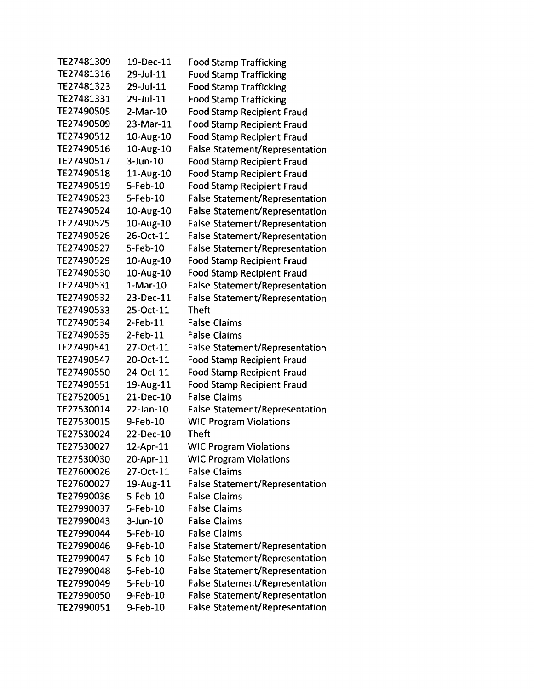| TE27481309 | 19-Dec-11   | <b>Food Stamp Trafficking</b>         |
|------------|-------------|---------------------------------------|
| TE27481316 | 29-Jul-11   | <b>Food Stamp Trafficking</b>         |
| TE27481323 | 29-Jul-11   | <b>Food Stamp Trafficking</b>         |
| TE27481331 | 29-Jul-11   | <b>Food Stamp Trafficking</b>         |
| TE27490505 | 2-Mar-10    | <b>Food Stamp Recipient Fraud</b>     |
| TE27490509 | 23-Mar-11   | Food Stamp Recipient Fraud            |
| TE27490512 | 10-Aug-10   | <b>Food Stamp Recipient Fraud</b>     |
| TE27490516 | 10-Aug-10   | <b>False Statement/Representation</b> |
| TE27490517 | $3$ -Jun-10 | <b>Food Stamp Recipient Fraud</b>     |
| TE27490518 | 11-Aug-10   | <b>Food Stamp Recipient Fraud</b>     |
| TE27490519 | 5-Feb-10    | <b>Food Stamp Recipient Fraud</b>     |
| TE27490523 | 5-Feb-10    | <b>False Statement/Representation</b> |
| TE27490524 | 10-Aug-10   | <b>False Statement/Representation</b> |
| TE27490525 | 10-Aug-10   | <b>False Statement/Representation</b> |
| TE27490526 | 26-Oct-11   | <b>False Statement/Representation</b> |
| TE27490527 | 5-Feb-10    | <b>False Statement/Representation</b> |
| TE27490529 | 10-Aug-10   | <b>Food Stamp Recipient Fraud</b>     |
| TE27490530 | 10-Aug-10   | <b>Food Stamp Recipient Fraud</b>     |
| TE27490531 | $1-Mar-10$  | <b>False Statement/Representation</b> |
| TE27490532 | 23-Dec-11   | <b>False Statement/Representation</b> |
| TE27490533 | 25-Oct-11   | <b>Theft</b>                          |
| TE27490534 | $2$ -Feb-11 | <b>False Claims</b>                   |
| TE27490535 | $2$ -Feb-11 | <b>False Claims</b>                   |
| TE27490541 | 27-Oct-11   | <b>False Statement/Representation</b> |
| TE27490547 | 20-Oct-11   | <b>Food Stamp Recipient Fraud</b>     |
| TE27490550 | 24-Oct-11   | <b>Food Stamp Recipient Fraud</b>     |
| TE27490551 | 19-Aug-11   | <b>Food Stamp Recipient Fraud</b>     |
| TE27520051 | 21-Dec-10   | <b>False Claims</b>                   |
| TE27530014 | 22-Jan-10   | <b>False Statement/Representation</b> |
| TE27530015 | 9-Feb-10    | <b>WIC Program Violations</b>         |
| TE27530024 | 22-Dec-10   | <b>Theft</b>                          |
| TE27530027 | 12-Apr-11   | <b>WIC Program Violations</b>         |
| TE27530030 | 20-Apr-11   | <b>WIC Program Violations</b>         |
| TE27600026 | 27-Oct-11   | <b>False Claims</b>                   |
| TE27600027 | 19-Aug-11   | <b>False Statement/Representation</b> |
| TE27990036 | 5-Feb-10    | <b>False Claims</b>                   |
| TE27990037 | 5-Feb-10    | <b>False Claims</b>                   |
| TE27990043 | $3$ -Jun-10 | <b>False Claims</b>                   |
| TE27990044 | 5-Feb-10    | <b>False Claims</b>                   |
| TE27990046 | 9-Feb-10    | <b>False Statement/Representation</b> |
| TE27990047 | 5-Feb-10    | <b>False Statement/Representation</b> |
| TE27990048 | 5-Feb-10    | <b>False Statement/Representation</b> |
| TE27990049 | 5-Feb-10    | <b>False Statement/Representation</b> |
| TE27990050 | 9-Feb-10    | <b>False Statement/Representation</b> |
| TE27990051 | 9-Feb-10    | <b>False Statement/Representation</b> |